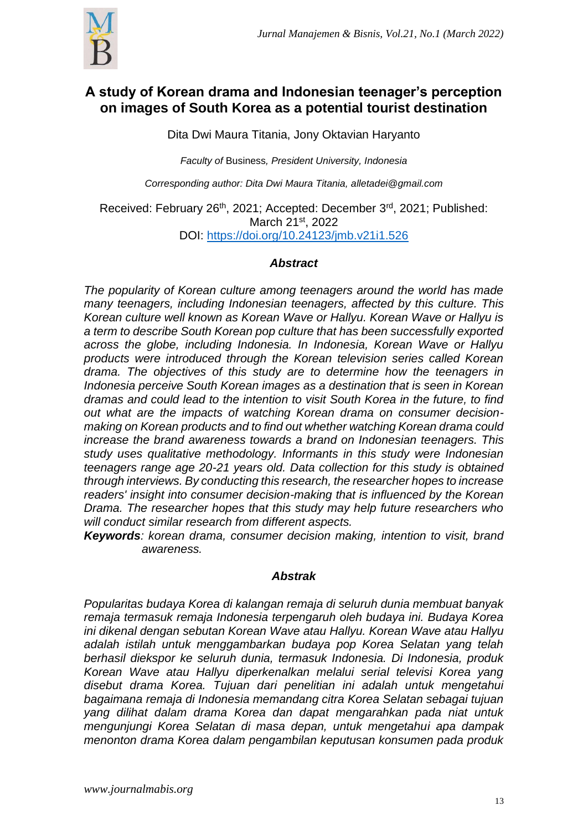

# **A study of Korean drama and Indonesian teenager's perception on images of South Korea as a potential tourist destination**

Dita Dwi Maura Titania, Jony Oktavian Haryanto

*Faculty of* Business*, President University, Indonesia* 

*Corresponding author: Dita Dwi Maura Titania, [alletadei@gmail.com](mailto:alletadei@gmail.com)*

Received: February 26<sup>th</sup>, 2021; Accepted: December 3<sup>rd</sup>, 2021; Published: March 21st, 2022 DOI:<https://doi.org/10.24123/jmb.v21i1.526>

## *Abstract*

*The popularity of Korean culture among teenagers around the world has made many teenagers, including Indonesian teenagers, affected by this culture. This Korean culture well known as Korean Wave or Hallyu. Korean Wave or Hallyu is a term to describe South Korean pop culture that has been successfully exported across the globe, including Indonesia. In Indonesia, Korean Wave or Hallyu products were introduced through the Korean television series called Korean drama. The objectives of this study are to determine how the teenagers in Indonesia perceive South Korean images as a destination that is seen in Korean dramas and could lead to the intention to visit South Korea in the future, to find out what are the impacts of watching Korean drama on consumer decisionmaking on Korean products and to find out whether watching Korean drama could increase the brand awareness towards a brand on Indonesian teenagers. This study uses qualitative methodology. Informants in this study were Indonesian teenagers range age 20-21 years old. Data collection for this study is obtained through interviews. By conducting this research, the researcher hopes to increase readers' insight into consumer decision-making that is influenced by the Korean Drama. The researcher hopes that this study may help future researchers who will conduct similar research from different aspects.*

*Keywords: korean drama, consumer decision making, intention to visit, brand awareness.*

## *Abstrak*

*Popularitas budaya Korea di kalangan remaja di seluruh dunia membuat banyak remaja termasuk remaja Indonesia terpengaruh oleh budaya ini. Budaya Korea ini dikenal dengan sebutan Korean Wave atau Hallyu. Korean Wave atau Hallyu adalah istilah untuk menggambarkan budaya pop Korea Selatan yang telah berhasil diekspor ke seluruh dunia, termasuk Indonesia. Di Indonesia, produk Korean Wave atau Hallyu diperkenalkan melalui serial televisi Korea yang disebut drama Korea. Tujuan dari penelitian ini adalah untuk mengetahui bagaimana remaja di Indonesia memandang citra Korea Selatan sebagai tujuan yang dilihat dalam drama Korea dan dapat mengarahkan pada niat untuk mengunjungi Korea Selatan di masa depan, untuk mengetahui apa dampak menonton drama Korea dalam pengambilan keputusan konsumen pada produk*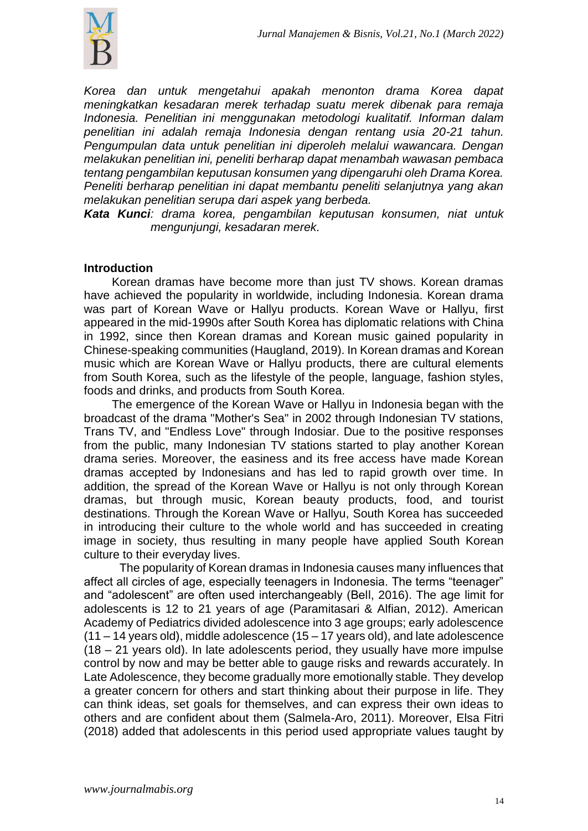

*Korea dan untuk mengetahui apakah menonton drama Korea dapat meningkatkan kesadaran merek terhadap suatu merek dibenak para remaja Indonesia. Penelitian ini menggunakan metodologi kualitatif. Informan dalam penelitian ini adalah remaja Indonesia dengan rentang usia 20-21 tahun. Pengumpulan data untuk penelitian ini diperoleh melalui wawancara. Dengan melakukan penelitian ini, peneliti berharap dapat menambah wawasan pembaca tentang pengambilan keputusan konsumen yang dipengaruhi oleh Drama Korea. Peneliti berharap penelitian ini dapat membantu peneliti selanjutnya yang akan melakukan penelitian serupa dari aspek yang berbeda.* 

*Kata Kunci: drama korea, pengambilan keputusan konsumen, niat untuk mengunjungi, kesadaran merek.*

## **Introduction**

Korean dramas have become more than just TV shows. Korean dramas have achieved the popularity in worldwide, including Indonesia. Korean drama was part of Korean Wave or Hallyu products. Korean Wave or Hallyu, first appeared in the mid-1990s after South Korea has diplomatic relations with China in 1992, since then Korean dramas and Korean music gained popularity in Chinese-speaking communities (Haugland, 2019). In Korean dramas and Korean music which are Korean Wave or Hallyu products, there are cultural elements from South Korea, such as the lifestyle of the people, language, fashion styles, foods and drinks, and products from South Korea.

The emergence of the Korean Wave or Hallyu in Indonesia began with the broadcast of the drama "Mother's Sea" in 2002 through Indonesian TV stations, Trans TV, and "Endless Love" through Indosiar. Due to the positive responses from the public, many Indonesian TV stations started to play another Korean drama series. Moreover, the easiness and its free access have made Korean dramas accepted by Indonesians and has led to rapid growth over time. In addition, the spread of the Korean Wave or Hallyu is not only through Korean dramas, but through music, Korean beauty products, food, and tourist destinations. Through the Korean Wave or Hallyu, South Korea has succeeded in introducing their culture to the whole world and has succeeded in creating image in society, thus resulting in many people have applied South Korean culture to their everyday lives.

The popularity of Korean dramas in Indonesia causes many influences that affect all circles of age, especially teenagers in Indonesia. The terms "teenager" and "adolescent" are often used interchangeably (Bell, 2016). The age limit for adolescents is 12 to 21 years of age (Paramitasari & Alfian, 2012). American Academy of Pediatrics divided adolescence into 3 age groups; early adolescence  $(11 - 14$  years old), middle adolescence  $(15 - 17$  years old), and late adolescence (18 – 21 years old). In late adolescents period, they usually have more impulse control by now and may be better able to gauge risks and rewards accurately. In Late Adolescence, they become gradually more emotionally stable. They develop a greater concern for others and start thinking about their purpose in life. They can think ideas, set goals for themselves, and can express their own ideas to others and are confident about them (Salmela-Aro, 2011). Moreover, Elsa Fitri (2018) added that adolescents in this period used appropriate values taught by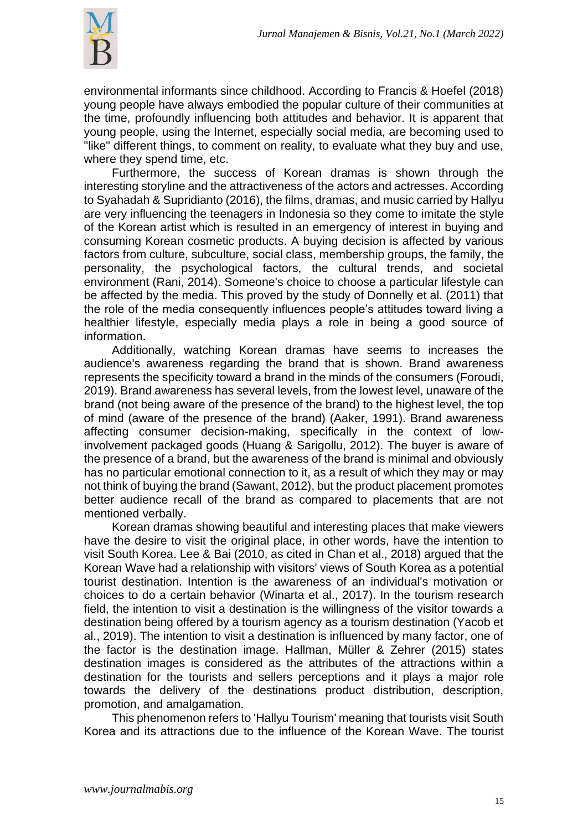

environmental informants since childhood. According to Francis & Hoefel (2018) young people have always embodied the popular culture of their communities at the time, profoundly influencing both attitudes and behavior. It is apparent that young people, using the Internet, especially social media, are becoming used to "like" different things, to comment on reality, to evaluate what they buy and use, where they spend time, etc.

Furthermore, the success of Korean dramas is shown through the interesting storyline and the attractiveness of the actors and actresses. According to Syahadah & Supridianto (2016), the films, dramas, and music carried by Hallyu are very influencing the teenagers in Indonesia so they come to imitate the style of the Korean artist which is resulted in an emergency of interest in buying and consuming Korean cosmetic products. A buying decision is affected by various factors from culture, subculture, social class, membership groups, the family, the personality, the psychological factors, the cultural trends, and societal environment (Rani, 2014). Someone's choice to choose a particular lifestyle can be affected by the media. This proved by the study of Donnelly et al. (2011) that the role of the media consequently influences people's attitudes toward living a healthier lifestyle, especially media plays a role in being a good source of information.

Additionally, watching Korean dramas have seems to increases the audience's awareness regarding the brand that is shown. Brand awareness represents the specificity toward a brand in the minds of the consumers (Foroudi, 2019). Brand awareness has several levels, from the lowest level, unaware of the brand (not being aware of the presence of the brand) to the highest level, the top of mind (aware of the presence of the brand) (Aaker, 1991). Brand awareness affecting consumer decision-making, specifically in the context of lowinvolvement packaged goods (Huang & Sarigollu, 2012). The buyer is aware of the presence of a brand, but the awareness of the brand is minimal and obviously has no particular emotional connection to it, as a result of which they may or may not think of buying the brand (Sawant, 2012), but the product placement promotes better audience recall of the brand as compared to placements that are not mentioned verbally.

Korean dramas showing beautiful and interesting places that make viewers have the desire to visit the original place, in other words, have the intention to visit South Korea. Lee & Bai (2010, as cited in Chan et al., 2018) argued that the Korean Wave had a relationship with visitors' views of South Korea as a potential tourist destination. Intention is the awareness of an individual's motivation or choices to do a certain behavior (Winarta et al., 2017). In the tourism research field, the intention to visit a destination is the willingness of the visitor towards a destination being offered by a tourism agency as a tourism destination (Yacob et al., 2019). The intention to visit a destination is influenced by many factor, one of the factor is the destination image. Hallman, Müller & Zehrer (2015) states destination images is considered as the attributes of the attractions within a destination for the tourists and sellers perceptions and it plays a major role towards the delivery of the destinations product distribution, description, promotion, and amalgamation.

This phenomenon refers to 'Hallyu Tourism' meaning that tourists visit South Korea and its attractions due to the influence of the Korean Wave. The tourist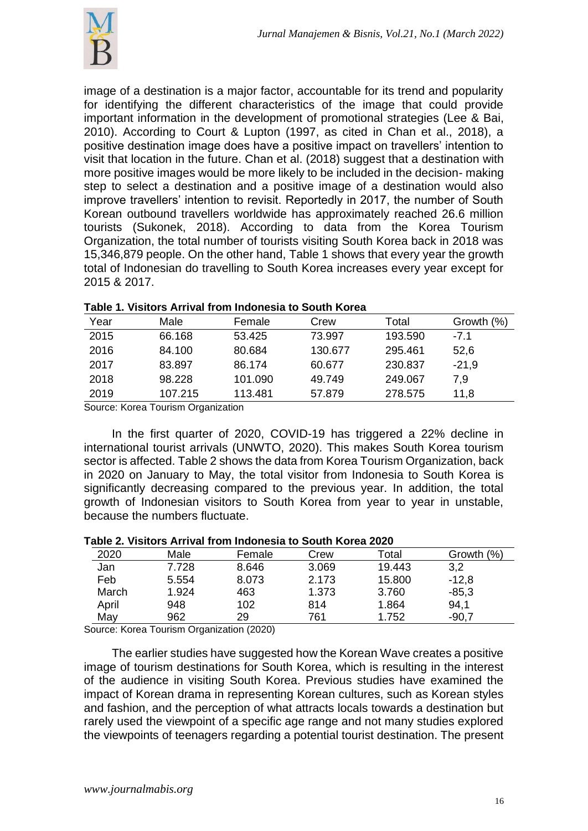

image of a destination is a major factor, accountable for its trend and popularity for identifying the different characteristics of the image that could provide important information in the development of promotional strategies (Lee & Bai, 2010). According to Court & Lupton (1997, as cited in Chan et al., 2018), a positive destination image does have a positive impact on travellers' intention to visit that location in the future. Chan et al. (2018) suggest that a destination with more positive images would be more likely to be included in the decision- making step to select a destination and a positive image of a destination would also improve travellers' intention to revisit. Reportedly in 2017, the number of South Korean outbound travellers worldwide has approximately reached 26.6 million tourists (Sukonek, 2018). According to data from the Korea Tourism Organization, the total number of tourists visiting South Korea back in 2018 was 15,346,879 people. On the other hand, Table 1 shows that every year the growth total of Indonesian do travelling to South Korea increases every year except for 2015 & 2017.

| Year   | Male    | Female  | Crew    | Total   | Growth (%) |  |  |
|--------|---------|---------|---------|---------|------------|--|--|
| 2015   | 66.168  | 53.425  | 73.997  | 193.590 | $-7.1$     |  |  |
| 2016   | 84.100  | 80.684  | 130.677 | 295.461 | 52,6       |  |  |
| 2017   | 83.897  | 86.174  | 60.677  | 230.837 | $-21.9$    |  |  |
| 2018   | 98.228  | 101.090 | 49.749  | 249.067 | 7,9        |  |  |
| 2019   | 107.215 | 113.481 | 57.879  | 278.575 | 11,8       |  |  |
| $\sim$ |         |         |         |         |            |  |  |

#### **Table 1. Visitors Arrival from Indonesia to South Korea**

Source: Korea Tourism Organization

In the first quarter of 2020, COVID-19 has triggered a 22% decline in international tourist arrivals (UNWTO, 2020). This makes South Korea tourism sector is affected. Table 2 shows the data from Korea Tourism Organization, back in 2020 on January to May, the total visitor from Indonesia to South Korea is significantly decreasing compared to the previous year. In addition, the total growth of Indonesian visitors to South Korea from year to year in unstable, because the numbers fluctuate.

#### **Table 2. Visitors Arrival from Indonesia to South Korea 2020**

| $\overline{\phantom{a}}$ ושוט ביו וואסט טוויסטוויסטוויסטוויסט גם שטווירן שוטוי |        |                                           |       |        |            |  |  |  |
|--------------------------------------------------------------------------------|--------|-------------------------------------------|-------|--------|------------|--|--|--|
| 2020                                                                           | Male   | Female                                    | Crew  | Total  | Growth (%) |  |  |  |
| Jan                                                                            | 7.728  | 8.646                                     | 3.069 | 19.443 | 3,2        |  |  |  |
| Feb                                                                            | 5.554  | 8.073                                     | 2.173 | 15.800 | $-12,8$    |  |  |  |
| March                                                                          | 1.924  | 463                                       | 1.373 | 3.760  | $-85,3$    |  |  |  |
| April                                                                          | 948    | 102                                       | 814   | 1.864  | 94,1       |  |  |  |
| May                                                                            | 962    | 29                                        | 761   | 1.752  | $-90,7$    |  |  |  |
| . .                                                                            | $\sim$ | $\sim$ $\sim$ $\sim$ $\sim$ $\sim$ $\sim$ |       |        |            |  |  |  |

Source: Korea Tourism Organization (2020)

The earlier studies have suggested how the Korean Wave creates a positive image of tourism destinations for South Korea, which is resulting in the interest of the audience in visiting South Korea. Previous studies have examined the impact of Korean drama in representing Korean cultures, such as Korean styles and fashion, and the perception of what attracts locals towards a destination but rarely used the viewpoint of a specific age range and not many studies explored the viewpoints of teenagers regarding a potential tourist destination. The present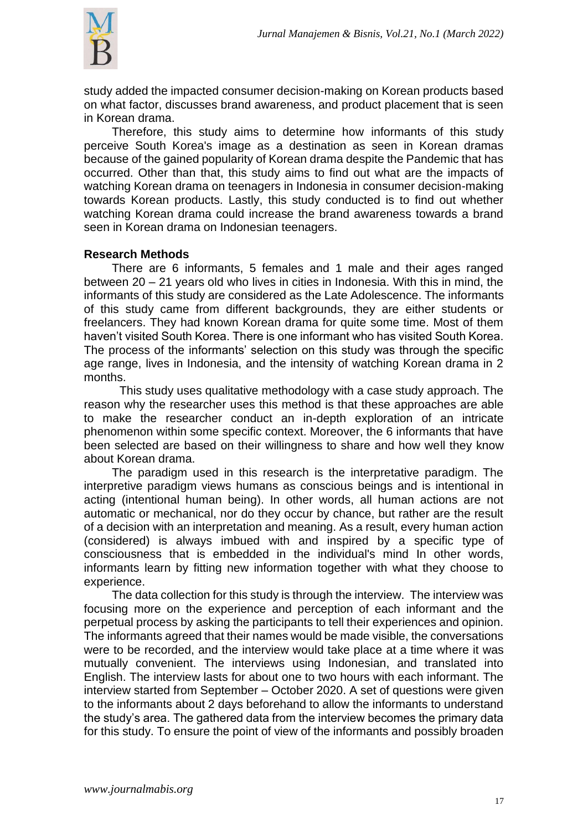

study added the impacted consumer decision-making on Korean products based on what factor, discusses brand awareness, and product placement that is seen in Korean drama.

Therefore, this study aims to determine how informants of this study perceive South Korea's image as a destination as seen in Korean dramas because of the gained popularity of Korean drama despite the Pandemic that has occurred. Other than that, this study aims to find out what are the impacts of watching Korean drama on teenagers in Indonesia in consumer decision-making towards Korean products. Lastly, this study conducted is to find out whether watching Korean drama could increase the brand awareness towards a brand seen in Korean drama on Indonesian teenagers.

## **Research Methods**

There are 6 informants, 5 females and 1 male and their ages ranged between 20 – 21 years old who lives in cities in Indonesia. With this in mind, the informants of this study are considered as the Late Adolescence. The informants of this study came from different backgrounds, they are either students or freelancers. They had known Korean drama for quite some time. Most of them haven't visited South Korea. There is one informant who has visited South Korea. The process of the informants' selection on this study was through the specific age range, lives in Indonesia, and the intensity of watching Korean drama in 2 months.

This study uses qualitative methodology with a case study approach. The reason why the researcher uses this method is that these approaches are able to make the researcher conduct an in-depth exploration of an intricate phenomenon within some specific context. Moreover, the 6 informants that have been selected are based on their willingness to share and how well they know about Korean drama.

The paradigm used in this research is the interpretative paradigm. The interpretive paradigm views humans as conscious beings and is intentional in acting (intentional human being). In other words, all human actions are not automatic or mechanical, nor do they occur by chance, but rather are the result of a decision with an interpretation and meaning. As a result, every human action (considered) is always imbued with and inspired by a specific type of consciousness that is embedded in the individual's mind In other words, informants learn by fitting new information together with what they choose to experience.

The data collection for this study is through the interview. The interview was focusing more on the experience and perception of each informant and the perpetual process by asking the participants to tell their experiences and opinion. The informants agreed that their names would be made visible, the conversations were to be recorded, and the interview would take place at a time where it was mutually convenient. The interviews using Indonesian, and translated into English. The interview lasts for about one to two hours with each informant. The interview started from September – October 2020. A set of questions were given to the informants about 2 days beforehand to allow the informants to understand the study's area. The gathered data from the interview becomes the primary data for this study. To ensure the point of view of the informants and possibly broaden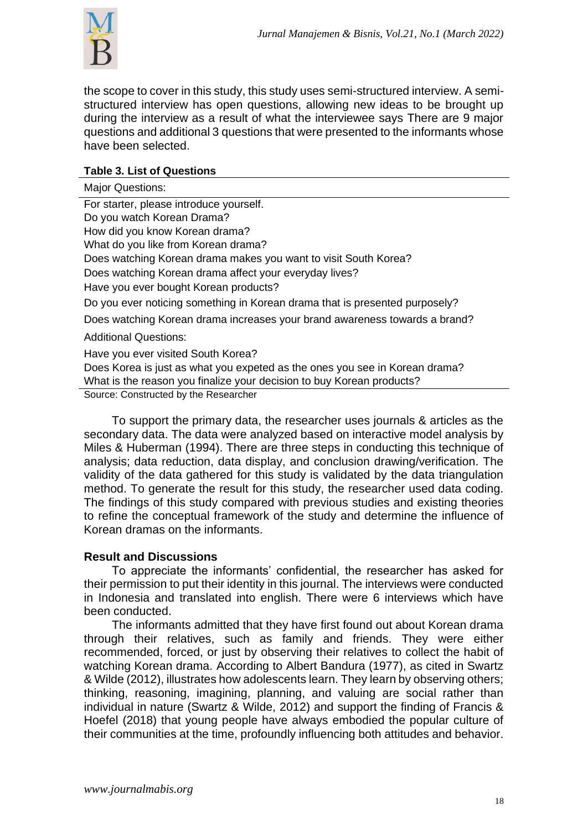

the scope to cover in this study, this study uses semi-structured interview. A semistructured interview has open questions, allowing new ideas to be brought up during the interview as a result of what the interviewee says There are 9 major questions and additional 3 questions that were presented to the informants whose have been selected.

## **Table 3. List of Questions**

Major Questions: For starter, please introduce yourself. Do you watch Korean Drama? How did you know Korean drama? What do you like from Korean drama? Does watching Korean drama makes you want to visit South Korea? Does watching Korean drama affect your everyday lives? Have you ever bought Korean products? Do you ever noticing something in Korean drama that is presented purposely? Does watching Korean drama increases your brand awareness towards a brand? Additional Questions: Have you ever visited South Korea? Does Korea is just as what you expeted as the ones you see in Korean drama? What is the reason you finalize your decision to buy Korean products? Source: Constructed by the Researcher

To support the primary data, the researcher uses journals & articles as the secondary data. The data were analyzed based on interactive model analysis by Miles & Huberman (1994). There are three steps in conducting this technique of analysis; data reduction, data display, and conclusion drawing/verification. The validity of the data gathered for this study is validated by the data triangulation method. To generate the result for this study, the researcher used data coding. The findings of this study compared with previous studies and existing theories to refine the conceptual framework of the study and determine the influence of Korean dramas on the informants.

## **Result and Discussions**

To appreciate the informants' confidential, the researcher has asked for their permission to put their identity in this journal. The interviews were conducted in Indonesia and translated into english. There were 6 interviews which have been conducted.

The informants admitted that they have first found out about Korean drama through their relatives, such as family and friends. They were either recommended, forced, or just by observing their relatives to collect the habit of watching Korean drama. According to Albert Bandura (1977), as cited in Swartz & Wilde (2012), illustrates how adolescents learn. They learn by observing others; thinking, reasoning, imagining, planning, and valuing are social rather than individual in nature (Swartz & Wilde, 2012) and support the finding of Francis & Hoefel (2018) that young people have always embodied the popular culture of their communities at the time, profoundly influencing both attitudes and behavior.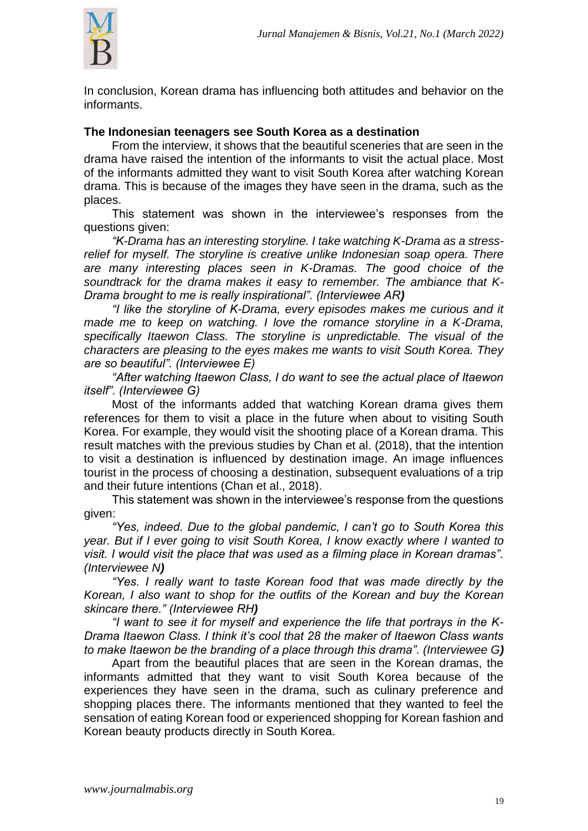

In conclusion, Korean drama has influencing both attitudes and behavior on the informants.

#### **The Indonesian teenagers see South Korea as a destination**

From the interview, it shows that the beautiful sceneries that are seen in the drama have raised the intention of the informants to visit the actual place. Most of the informants admitted they want to visit South Korea after watching Korean drama. This is because of the images they have seen in the drama, such as the places.

This statement was shown in the interviewee's responses from the questions given:

*"K-Drama has an interesting storyline. I take watching K-Drama as a stressrelief for myself. The storyline is creative unlike Indonesian soap opera. There are many interesting places seen in K-Dramas. The good choice of the soundtrack for the drama makes it easy to remember. The ambiance that K-Drama brought to me is really inspirational". (Interviewee AR)*

*"I like the storyline of K-Drama, every episodes makes me curious and it made me to keep on watching. I love the romance storyline in a K-Drama, specifically Itaewon Class. The storyline is unpredictable. The visual of the characters are pleasing to the eyes makes me wants to visit South Korea. They are so beautiful". (Interviewee E)*

*"After watching Itaewon Class, I do want to see the actual place of Itaewon itself". (Interviewee G)*

Most of the informants added that watching Korean drama gives them references for them to visit a place in the future when about to visiting South Korea. For example, they would visit the shooting place of a Korean drama. This result matches with the previous studies by Chan et al. (2018), that the intention to visit a destination is influenced by destination image. An image influences tourist in the process of choosing a destination, subsequent evaluations of a trip and their future intentions (Chan et al., 2018).

This statement was shown in the interviewee's response from the questions given:

*"Yes, indeed. Due to the global pandemic, I can't go to South Korea this year. But if I ever going to visit South Korea, I know exactly where I wanted to visit. I would visit the place that was used as a filming place in Korean dramas". (Interviewee N)*

*"Yes. I really want to taste Korean food that was made directly by the Korean, I also want to shop for the outfits of the Korean and buy the Korean skincare there." (Interviewee RH)*

*"I want to see it for myself and experience the life that portrays in the K-Drama Itaewon Class. I think it's cool that 28 the maker of Itaewon Class wants to make Itaewon be the branding of a place through this drama". (Interviewee G)*

Apart from the beautiful places that are seen in the Korean dramas, the informants admitted that they want to visit South Korea because of the experiences they have seen in the drama, such as culinary preference and shopping places there. The informants mentioned that they wanted to feel the sensation of eating Korean food or experienced shopping for Korean fashion and Korean beauty products directly in South Korea.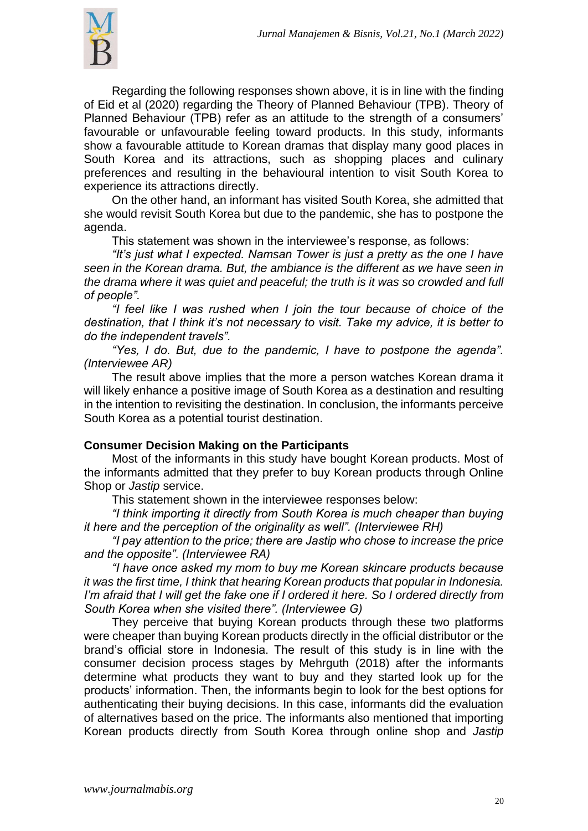

Regarding the following responses shown above, it is in line with the finding of Eid et al (2020) regarding the Theory of Planned Behaviour (TPB). Theory of Planned Behaviour (TPB) refer as an attitude to the strength of a consumers' favourable or unfavourable feeling toward products. In this study, informants show a favourable attitude to Korean dramas that display many good places in South Korea and its attractions, such as shopping places and culinary preferences and resulting in the behavioural intention to visit South Korea to experience its attractions directly.

On the other hand, an informant has visited South Korea, she admitted that she would revisit South Korea but due to the pandemic, she has to postpone the agenda.

This statement was shown in the interviewee's response, as follows:

*"It's just what I expected. Namsan Tower is just a pretty as the one I have seen in the Korean drama. But, the ambiance is the different as we have seen in the drama where it was quiet and peaceful; the truth is it was so crowded and full of people".*

*"I feel like I was rushed when I join the tour because of choice of the destination, that I think it's not necessary to visit. Take my advice, it is better to do the independent travels".*

*"Yes, I do. But, due to the pandemic, I have to postpone the agenda". (Interviewee AR)*

The result above implies that the more a person watches Korean drama it will likely enhance a positive image of South Korea as a destination and resulting in the intention to revisiting the destination. In conclusion, the informants perceive South Korea as a potential tourist destination.

## **Consumer Decision Making on the Participants**

Most of the informants in this study have bought Korean products. Most of the informants admitted that they prefer to buy Korean products through Online Shop or *Jastip* service.

This statement shown in the interviewee responses below:

*"I think importing it directly from South Korea is much cheaper than buying it here and the perception of the originality as well". (Interviewee RH)*

*"I pay attention to the price; there are Jastip who chose to increase the price and the opposite". (Interviewee RA)*

*"I have once asked my mom to buy me Korean skincare products because it was the first time, I think that hearing Korean products that popular in Indonesia. I'm afraid that I will get the fake one if I ordered it here. So I ordered directly from South Korea when she visited there". (Interviewee G)*

They perceive that buying Korean products through these two platforms were cheaper than buying Korean products directly in the official distributor or the brand's official store in Indonesia. The result of this study is in line with the consumer decision process stages by Mehrguth (2018) after the informants determine what products they want to buy and they started look up for the products' information. Then, the informants begin to look for the best options for authenticating their buying decisions. In this case, informants did the evaluation of alternatives based on the price. The informants also mentioned that importing Korean products directly from South Korea through online shop and *Jastip*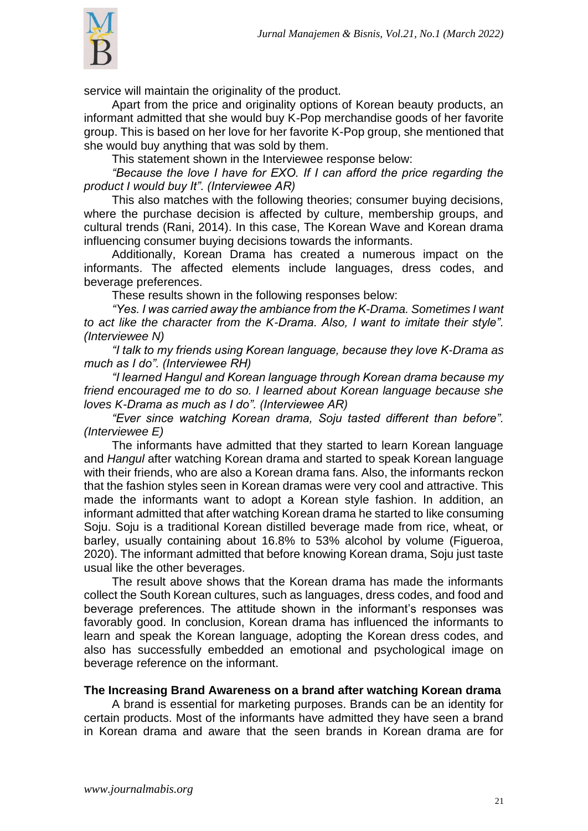

service will maintain the originality of the product.

Apart from the price and originality options of Korean beauty products, an informant admitted that she would buy K-Pop merchandise goods of her favorite group. This is based on her love for her favorite K-Pop group, she mentioned that she would buy anything that was sold by them.

This statement shown in the Interviewee response below:

*"Because the love I have for EXO. If I can afford the price regarding the product I would buy It". (Interviewee AR)*

This also matches with the following theories; consumer buying decisions, where the purchase decision is affected by culture, membership groups, and cultural trends (Rani, 2014). In this case, The Korean Wave and Korean drama influencing consumer buying decisions towards the informants.

Additionally, Korean Drama has created a numerous impact on the informants. The affected elements include languages, dress codes, and beverage preferences.

These results shown in the following responses below:

*"Yes. I was carried away the ambiance from the K-Drama. Sometimes I want to act like the character from the K-Drama. Also, I want to imitate their style". (Interviewee N)*

*"I talk to my friends using Korean language, because they love K-Drama as much as I do". (Interviewee RH)*

*"I learned Hangul and Korean language through Korean drama because my friend encouraged me to do so. I learned about Korean language because she loves K-Drama as much as I do". (Interviewee AR)*

*"Ever since watching Korean drama, Soju tasted different than before". (Interviewee E)*

The informants have admitted that they started to learn Korean language and *Hangul* after watching Korean drama and started to speak Korean language with their friends, who are also a Korean drama fans. Also, the informants reckon that the fashion styles seen in Korean dramas were very cool and attractive. This made the informants want to adopt a Korean style fashion. In addition, an informant admitted that after watching Korean drama he started to like consuming Soju. Soju is a traditional Korean distilled beverage made from rice, wheat, or barley, usually containing about 16.8% to 53% alcohol by volume (Figueroa, 2020). The informant admitted that before knowing Korean drama, Soju just taste usual like the other beverages.

The result above shows that the Korean drama has made the informants collect the South Korean cultures, such as languages, dress codes, and food and beverage preferences. The attitude shown in the informant's responses was favorably good. In conclusion, Korean drama has influenced the informants to learn and speak the Korean language, adopting the Korean dress codes, and also has successfully embedded an emotional and psychological image on beverage reference on the informant.

#### **The Increasing Brand Awareness on a brand after watching Korean drama**

A brand is essential for marketing purposes. Brands can be an identity for certain products. Most of the informants have admitted they have seen a brand in Korean drama and aware that the seen brands in Korean drama are for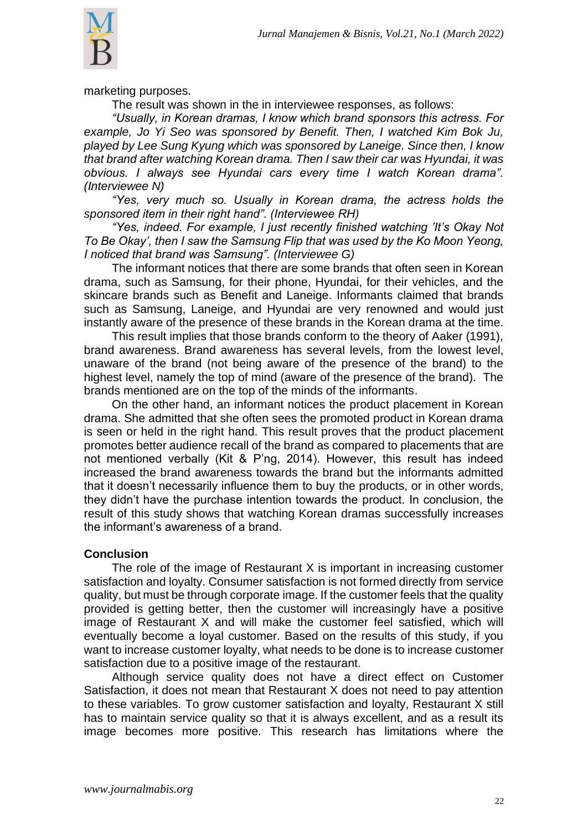

marketing purposes.

The result was shown in the in interviewee responses, as follows:

*"Usually, in Korean dramas, I know which brand sponsors this actress. For example, Jo Yi Seo was sponsored by Benefit. Then, I watched Kim Bok Ju, played by Lee Sung Kyung which was sponsored by Laneige. Since then, I know that brand after watching Korean drama. Then I saw their car was Hyundai, it was obvious. I always see Hyundai cars every time I watch Korean drama". (Interviewee N)*

*"Yes, very much so. Usually in Korean drama, the actress holds the sponsored item in their right hand". (Interviewee RH)*

*"Yes, indeed. For example, I just recently finished watching 'It's Okay Not To Be Okay', then I saw the Samsung Flip that was used by the Ko Moon Yeong, I noticed that brand was Samsung". (Interviewee G)*

The informant notices that there are some brands that often seen in Korean drama, such as Samsung, for their phone, Hyundai, for their vehicles, and the skincare brands such as Benefit and Laneige. Informants claimed that brands such as Samsung, Laneige, and Hyundai are very renowned and would just instantly aware of the presence of these brands in the Korean drama at the time.

This result implies that those brands conform to the theory of Aaker (1991), brand awareness. Brand awareness has several levels, from the lowest level, unaware of the brand (not being aware of the presence of the brand) to the highest level, namely the top of mind (aware of the presence of the brand). The brands mentioned are on the top of the minds of the informants.

On the other hand, an informant notices the product placement in Korean drama. She admitted that she often sees the promoted product in Korean drama is seen or held in the right hand. This result proves that the product placement promotes better audience recall of the brand as compared to placements that are not mentioned verbally (Kit & P'ng, 2014). However, this result has indeed increased the brand awareness towards the brand but the informants admitted that it doesn't necessarily influence them to buy the products, or in other words, they didn't have the purchase intention towards the product. In conclusion, the result of this study shows that watching Korean dramas successfully increases the informant's awareness of a brand.

## **Conclusion**

The role of the image of Restaurant X is important in increasing customer satisfaction and loyalty. Consumer satisfaction is not formed directly from service quality, but must be through corporate image. If the customer feels that the quality provided is getting better, then the customer will increasingly have a positive image of Restaurant X and will make the customer feel satisfied, which will eventually become a loyal customer. Based on the results of this study, if you want to increase customer loyalty, what needs to be done is to increase customer satisfaction due to a positive image of the restaurant.

Although service quality does not have a direct effect on Customer Satisfaction, it does not mean that Restaurant X does not need to pay attention to these variables. To grow customer satisfaction and loyalty, Restaurant X still has to maintain service quality so that it is always excellent, and as a result its image becomes more positive. This research has limitations where the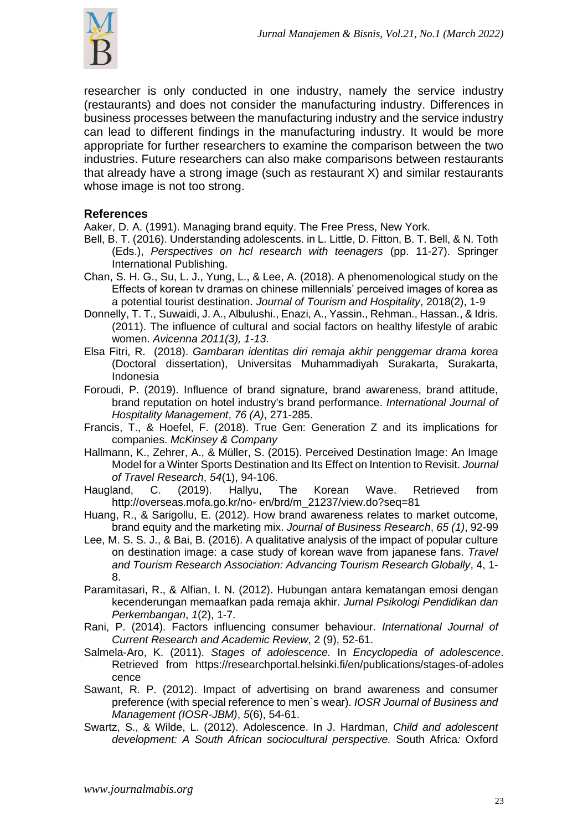

researcher is only conducted in one industry, namely the service industry (restaurants) and does not consider the manufacturing industry. Differences in business processes between the manufacturing industry and the service industry can lead to different findings in the manufacturing industry. It would be more appropriate for further researchers to examine the comparison between the two industries. Future researchers can also make comparisons between restaurants that already have a strong image (such as restaurant X) and similar restaurants whose image is not too strong.

## **References**

Aaker, D. A. (1991). Managing brand equity. The Free Press, New York.

- Bell, B. T. (2016). Understanding adolescents. in L. Little, D. Fitton, B. T. Bell, & N. Toth (Eds.), *Perspectives on hcl research with teenagers* (pp. 11-27). Springer International Publishing.
- Chan, S. H. G., Su, L. J., Yung, L., & Lee, A. (2018). A phenomenological study on the Effects of korean tv dramas on chinese millennials' perceived images of korea as a potential tourist destination. *Journal of Tourism and Hospitality*, 2018(2), 1-9
- Donnelly, T. T., Suwaidi, J. A., Albulushi., Enazi, A., Yassin., Rehman., Hassan., & Idris. (2011). The influence of cultural and social factors on healthy lifestyle of arabic women. *Avicenna 2011(3), 1-13*.
- Elsa Fitri, R. (2018). *Gambaran identitas diri remaja akhir penggemar drama korea*  (Doctoral dissertation), Universitas Muhammadiyah Surakarta, Surakarta, Indonesia
- Foroudi, P. (2019). Influence of brand signature, brand awareness, brand attitude, brand reputation on hotel industry's brand performance. *International Journal of Hospitality Management*, *76 (A)*, 271-285.
- Francis, T., & Hoefel, F. (2018). True Gen: Generation Z and its implications for companies. *McKinsey & Company*
- Hallmann, K., Zehrer, A., & Müller, S. (2015). Perceived Destination Image: An Image Model for a Winter Sports Destination and Its Effect on Intention to Revisit. *Journal of Travel Research*, *54*(1), 94-106.
- Haugland, C. (2019). Hallyu, The Korean Wave. Retrieved from <http://overseas.mofa.go.kr/no-> en/brd/m\_21237/view.do?seq=81
- Huang, R., & Sarigollu, E. (2012). How brand awareness relates to market outcome, brand equity and the marketing mix. *Journal of Business Research*, *65 (1)*, 92-99
- Lee, M. S. S. J., & Bai, B. (2016). A qualitative analysis of the impact of popular culture on destination image: a case study of korean wave from japanese fans. *Travel and Tourism Research Association: Advancing Tourism Research Globally*, 4, 1- 8.
- Paramitasari, R., & Alfian, I. N. (2012). Hubungan antara kematangan emosi dengan kecenderungan memaafkan pada remaja akhir. *Jurnal Psikologi Pendidikan dan Perkembangan*, *1*(2), 1-7.
- Rani, P. (2014). Factors influencing consumer behaviour. *International Journal of Current Research and Academic Review*, 2 (9), 52-61.
- Salmela-Aro, K. (2011). *Stages of adolescence.* In *Encyclopedia of adolescence*. Retrieved from [https://researchportal.helsinki.fi/en/publications/stages-of-adoles](https://researchportal.helsinki.fi/en/publications/stages-of-adoles%20cence)  [cence](https://researchportal.helsinki.fi/en/publications/stages-of-adoles%20cence)
- Sawant, R. P. (2012). Impact of advertising on brand awareness and consumer preference (with special reference to men`s wear). *IOSR Journal of Business and Management (IOSR-JBM)*, *5*(6), 54-61.
- Swartz, S., & Wilde, L. (2012). Adolescence. In J. Hardman, *Child and adolescent development: A South African sociocultural perspective.* South Africa*:* Oxford